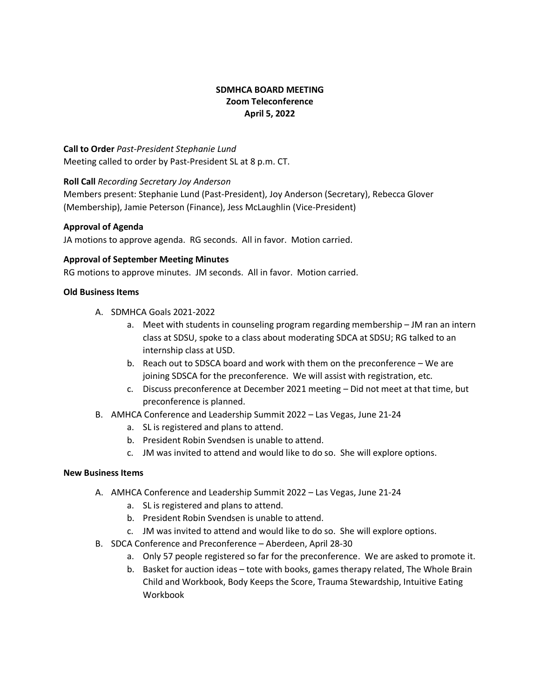# **SDMHCA BOARD MEETING Zoom Teleconference April 5, 2022**

**Call to Order** *Past-President Stephanie Lund* Meeting called to order by Past-President SL at 8 p.m. CT.

## **Roll Call** *Recording Secretary Joy Anderson*

Members present: Stephanie Lund (Past-President), Joy Anderson (Secretary), Rebecca Glover (Membership), Jamie Peterson (Finance), Jess McLaughlin (Vice-President)

### **Approval of Agenda**

JA motions to approve agenda. RG seconds. All in favor. Motion carried.

## **Approval of September Meeting Minutes**

RG motions to approve minutes. JM seconds. All in favor. Motion carried.

### **Old Business Items**

- A. SDMHCA Goals 2021-2022
	- a. Meet with students in counseling program regarding membership JM ran an intern class at SDSU, spoke to a class about moderating SDCA at SDSU; RG talked to an internship class at USD.
	- b. Reach out to SDSCA board and work with them on the preconference We are joining SDSCA for the preconference. We will assist with registration, etc.
	- c. Discuss preconference at December 2021 meeting Did not meet at that time, but preconference is planned.
- B. AMHCA Conference and Leadership Summit 2022 Las Vegas, June 21-24
	- a. SL is registered and plans to attend.
	- b. President Robin Svendsen is unable to attend.
	- c. JM was invited to attend and would like to do so. She will explore options.

### **New Business Items**

- A. AMHCA Conference and Leadership Summit 2022 Las Vegas, June 21-24
	- a. SL is registered and plans to attend.
	- b. President Robin Svendsen is unable to attend.
	- c. JM was invited to attend and would like to do so. She will explore options.
- B. SDCA Conference and Preconference Aberdeen, April 28-30
	- a. Only 57 people registered so far for the preconference. We are asked to promote it.
	- b. Basket for auction ideas tote with books, games therapy related, The Whole Brain Child and Workbook, Body Keeps the Score, Trauma Stewardship, Intuitive Eating Workbook